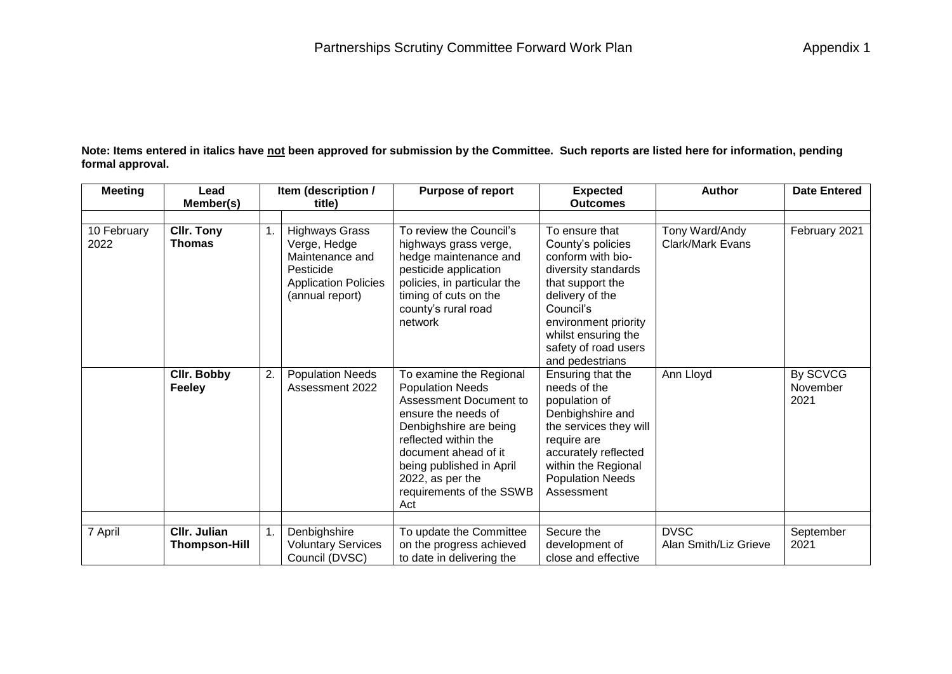**Note: Items entered in italics have not been approved for submission by the Committee. Such reports are listed here for information, pending formal approval.**

| <b>Meeting</b>      | Lead                               | Item (description / |                                                                                                                         | <b>Purpose of report</b>                                                                                                                                                                                                                                         | <b>Expected</b>                                                                                                                                                                                                            | <b>Author</b>                        | <b>Date Entered</b>          |
|---------------------|------------------------------------|---------------------|-------------------------------------------------------------------------------------------------------------------------|------------------------------------------------------------------------------------------------------------------------------------------------------------------------------------------------------------------------------------------------------------------|----------------------------------------------------------------------------------------------------------------------------------------------------------------------------------------------------------------------------|--------------------------------------|------------------------------|
|                     | Member(s)                          |                     | title)                                                                                                                  |                                                                                                                                                                                                                                                                  | <b>Outcomes</b>                                                                                                                                                                                                            |                                      |                              |
| 10 February<br>2022 | <b>CIIr. Tony</b><br><b>Thomas</b> |                     | <b>Highways Grass</b><br>Verge, Hedge<br>Maintenance and<br>Pesticide<br><b>Application Policies</b><br>(annual report) | To review the Council's<br>highways grass verge,<br>hedge maintenance and<br>pesticide application<br>policies, in particular the<br>timing of cuts on the<br>county's rural road<br>network                                                                     | To ensure that<br>County's policies<br>conform with bio-<br>diversity standards<br>that support the<br>delivery of the<br>Council's<br>environment priority<br>whilst ensuring the<br>safety of road users                 | Tony Ward/Andy<br>Clark/Mark Evans   | February 2021                |
|                     | Cllr. Bobby<br>Feeley              | 2.                  | <b>Population Needs</b><br>Assessment 2022                                                                              | To examine the Regional<br><b>Population Needs</b><br>Assessment Document to<br>ensure the needs of<br>Denbighshire are being<br>reflected within the<br>document ahead of it<br>being published in April<br>2022, as per the<br>requirements of the SSWB<br>Act | and pedestrians<br>Ensuring that the<br>needs of the<br>population of<br>Denbighshire and<br>the services they will<br>require are<br>accurately reflected<br>within the Regional<br><b>Population Needs</b><br>Assessment | Ann Lloyd                            | By SCVCG<br>November<br>2021 |
|                     | CIIr. Julian                       |                     |                                                                                                                         |                                                                                                                                                                                                                                                                  |                                                                                                                                                                                                                            |                                      |                              |
| 7 April             | <b>Thompson-Hill</b>               |                     | Denbighshire<br><b>Voluntary Services</b><br>Council (DVSC)                                                             | To update the Committee<br>on the progress achieved<br>to date in delivering the                                                                                                                                                                                 | Secure the<br>development of<br>close and effective                                                                                                                                                                        | <b>DVSC</b><br>Alan Smith/Liz Grieve | September<br>2021            |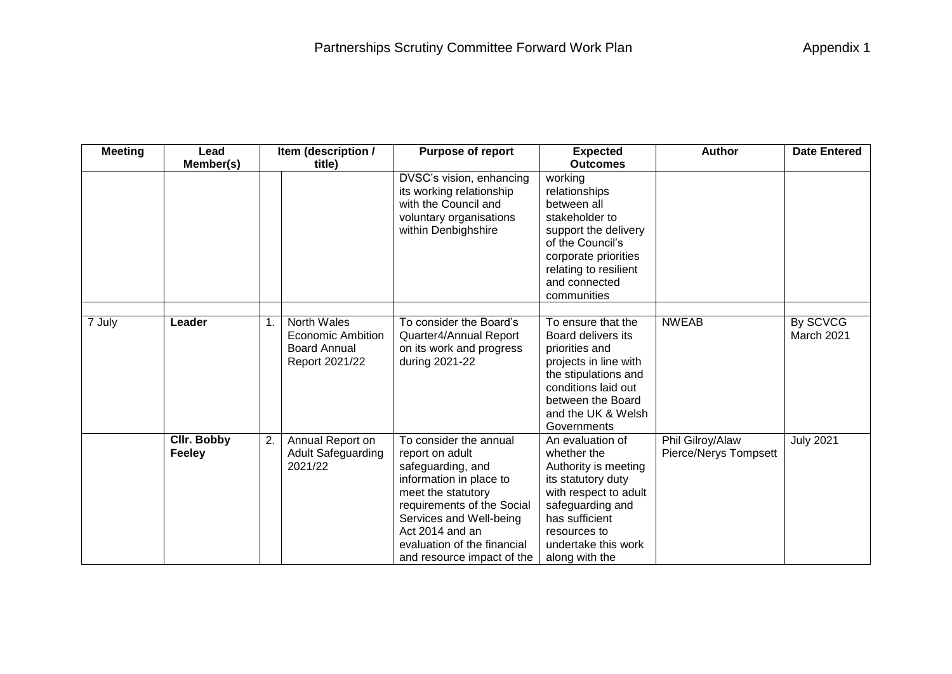| <b>Meeting</b> | Lead                                | Item (description / |                                                                                         | <b>Purpose of report</b>                                                                                                                                                                                                                                 | <b>Expected</b>                                                                                                                                                                                       | <b>Author</b>                             | <b>Date Entered</b>    |
|----------------|-------------------------------------|---------------------|-----------------------------------------------------------------------------------------|----------------------------------------------------------------------------------------------------------------------------------------------------------------------------------------------------------------------------------------------------------|-------------------------------------------------------------------------------------------------------------------------------------------------------------------------------------------------------|-------------------------------------------|------------------------|
|                | Member(s)                           |                     | title)                                                                                  |                                                                                                                                                                                                                                                          | <b>Outcomes</b>                                                                                                                                                                                       |                                           |                        |
|                |                                     |                     |                                                                                         | DVSC's vision, enhancing<br>its working relationship<br>with the Council and<br>voluntary organisations<br>within Denbighshire                                                                                                                           | working<br>relationships<br>between all<br>stakeholder to<br>support the delivery<br>of the Council's<br>corporate priorities<br>relating to resilient<br>and connected<br>communities                |                                           |                        |
| 7 July         | Leader                              |                     | <b>North Wales</b><br><b>Economic Ambition</b><br><b>Board Annual</b><br>Report 2021/22 | To consider the Board's<br>Quarter4/Annual Report<br>on its work and progress<br>during 2021-22                                                                                                                                                          | To ensure that the<br>Board delivers its<br>priorities and<br>projects in line with<br>the stipulations and<br>conditions laid out<br>between the Board<br>and the UK & Welsh<br>Governments          | <b>NWEAB</b>                              | By SCVCG<br>March 2021 |
|                | <b>Cllr. Bobby</b><br><b>Feeley</b> | 2.                  | Annual Report on<br><b>Adult Safeguarding</b><br>2021/22                                | To consider the annual<br>report on adult<br>safeguarding, and<br>information in place to<br>meet the statutory<br>requirements of the Social<br>Services and Well-being<br>Act 2014 and an<br>evaluation of the financial<br>and resource impact of the | An evaluation of<br>whether the<br>Authority is meeting<br>its statutory duty<br>with respect to adult<br>safeguarding and<br>has sufficient<br>resources to<br>undertake this work<br>along with the | Phil Gilroy/Alaw<br>Pierce/Nerys Tompsett | <b>July 2021</b>       |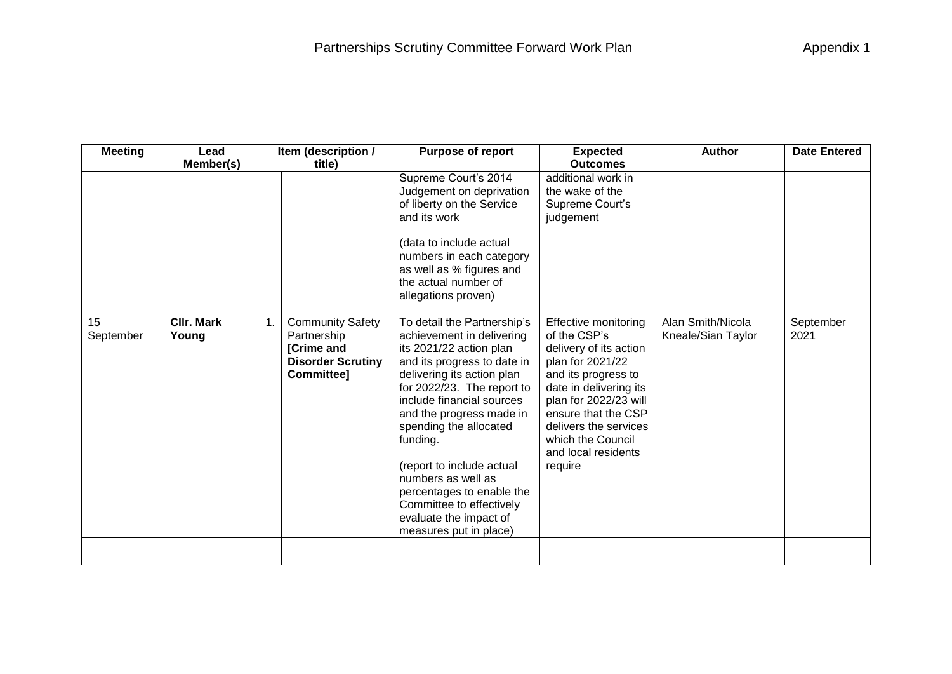| <b>Meeting</b>  | Lead                       | Item (description / |                                                                                                       | <b>Purpose of report</b>                                                                                                                                                                                                                                                                                                                                                                                                                      | <b>Expected</b>                                                                                                                                                                                                                                                     | <b>Author</b>                           | <b>Date Entered</b> |
|-----------------|----------------------------|---------------------|-------------------------------------------------------------------------------------------------------|-----------------------------------------------------------------------------------------------------------------------------------------------------------------------------------------------------------------------------------------------------------------------------------------------------------------------------------------------------------------------------------------------------------------------------------------------|---------------------------------------------------------------------------------------------------------------------------------------------------------------------------------------------------------------------------------------------------------------------|-----------------------------------------|---------------------|
|                 | Member(s)                  |                     | title)                                                                                                |                                                                                                                                                                                                                                                                                                                                                                                                                                               | <b>Outcomes</b>                                                                                                                                                                                                                                                     |                                         |                     |
|                 |                            |                     |                                                                                                       | Supreme Court's 2014<br>Judgement on deprivation<br>of liberty on the Service<br>and its work<br>(data to include actual                                                                                                                                                                                                                                                                                                                      | additional work in<br>the wake of the<br>Supreme Court's<br>judgement                                                                                                                                                                                               |                                         |                     |
|                 |                            |                     |                                                                                                       | numbers in each category<br>as well as % figures and<br>the actual number of<br>allegations proven)                                                                                                                                                                                                                                                                                                                                           |                                                                                                                                                                                                                                                                     |                                         |                     |
| 15<br>September | <b>CIIr. Mark</b><br>Young |                     | <b>Community Safety</b><br>Partnership<br>[Crime and<br><b>Disorder Scrutiny</b><br><b>Committee]</b> | To detail the Partnership's<br>achievement in delivering<br>its 2021/22 action plan<br>and its progress to date in<br>delivering its action plan<br>for 2022/23. The report to<br>include financial sources<br>and the progress made in<br>spending the allocated<br>funding.<br>(report to include actual<br>numbers as well as<br>percentages to enable the<br>Committee to effectively<br>evaluate the impact of<br>measures put in place) | Effective monitoring<br>of the CSP's<br>delivery of its action<br>plan for 2021/22<br>and its progress to<br>date in delivering its<br>plan for 2022/23 will<br>ensure that the CSP<br>delivers the services<br>which the Council<br>and local residents<br>require | Alan Smith/Nicola<br>Kneale/Sian Taylor | September<br>2021   |
|                 |                            |                     |                                                                                                       |                                                                                                                                                                                                                                                                                                                                                                                                                                               |                                                                                                                                                                                                                                                                     |                                         |                     |
|                 |                            |                     |                                                                                                       |                                                                                                                                                                                                                                                                                                                                                                                                                                               |                                                                                                                                                                                                                                                                     |                                         |                     |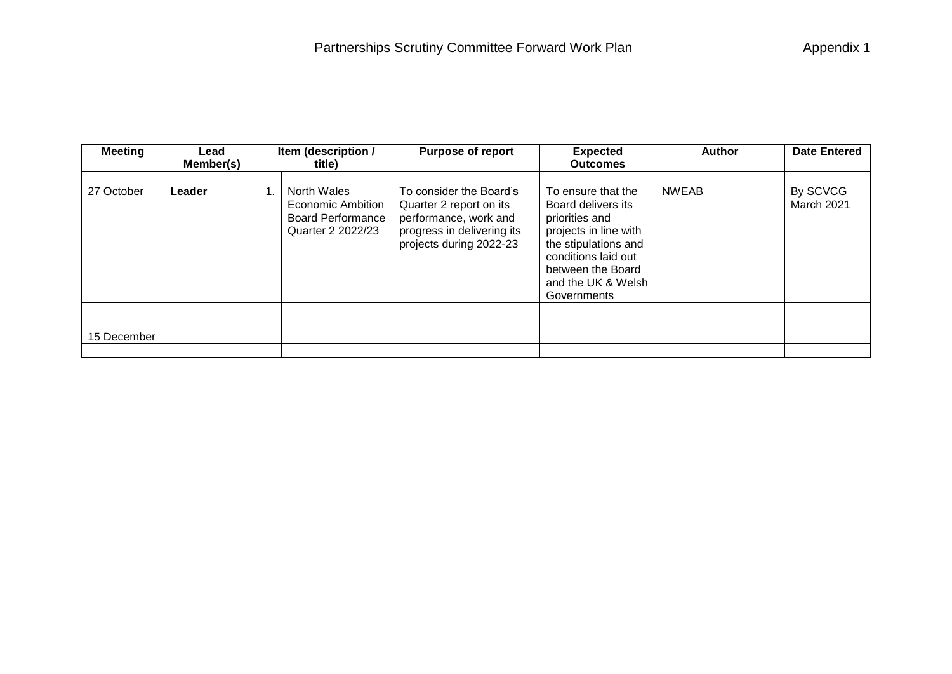| <b>Meeting</b> | Lead<br>Member(s) | Item (description /<br>title)                                                     | <b>Purpose of report</b>                                                                                                             | <b>Expected</b><br><b>Outcomes</b>                                                                                                                                                           | <b>Author</b> | <b>Date Entered</b>    |
|----------------|-------------------|-----------------------------------------------------------------------------------|--------------------------------------------------------------------------------------------------------------------------------------|----------------------------------------------------------------------------------------------------------------------------------------------------------------------------------------------|---------------|------------------------|
| 27 October     | Leader            | North Wales<br>Economic Ambition<br><b>Board Performance</b><br>Quarter 2 2022/23 | To consider the Board's<br>Quarter 2 report on its<br>performance, work and<br>progress in delivering its<br>projects during 2022-23 | To ensure that the<br>Board delivers its<br>priorities and<br>projects in line with<br>the stipulations and<br>conditions laid out<br>between the Board<br>and the UK & Welsh<br>Governments | <b>NWEAB</b>  | By SCVCG<br>March 2021 |
|                |                   |                                                                                   |                                                                                                                                      |                                                                                                                                                                                              |               |                        |
|                |                   |                                                                                   |                                                                                                                                      |                                                                                                                                                                                              |               |                        |
| 15 December    |                   |                                                                                   |                                                                                                                                      |                                                                                                                                                                                              |               |                        |
|                |                   |                                                                                   |                                                                                                                                      |                                                                                                                                                                                              |               |                        |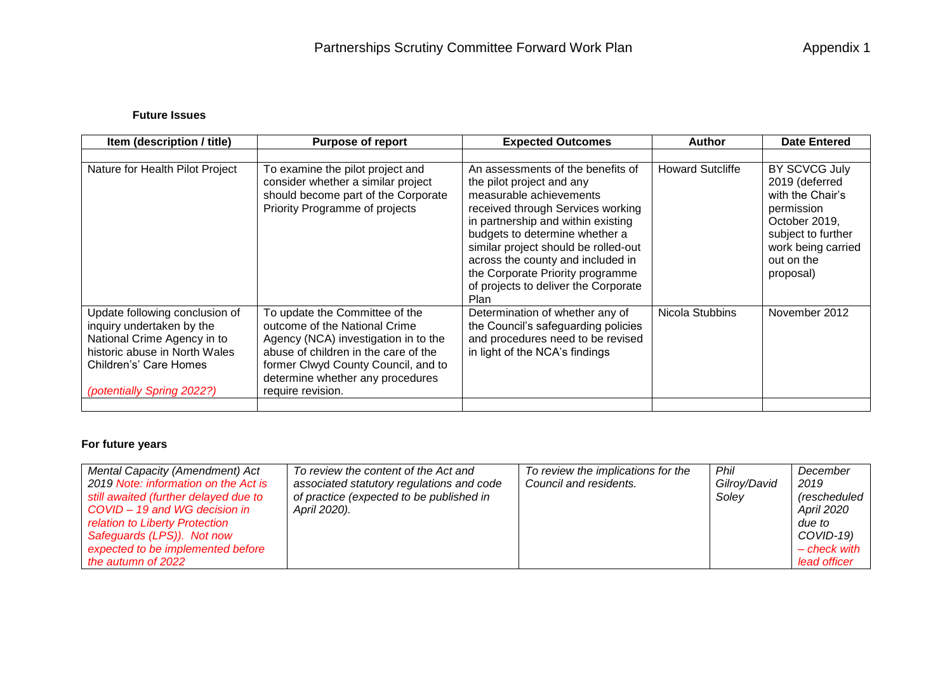## **Future Issues**

| Item (description / title)                                                                                                                                                          | <b>Purpose of report</b>                                                                                                                                                                                                                        | <b>Expected Outcomes</b>                                                                                                                                                                                                                                                                                                                                                | <b>Author</b>           | <b>Date Entered</b>                                                                                                                                       |
|-------------------------------------------------------------------------------------------------------------------------------------------------------------------------------------|-------------------------------------------------------------------------------------------------------------------------------------------------------------------------------------------------------------------------------------------------|-------------------------------------------------------------------------------------------------------------------------------------------------------------------------------------------------------------------------------------------------------------------------------------------------------------------------------------------------------------------------|-------------------------|-----------------------------------------------------------------------------------------------------------------------------------------------------------|
|                                                                                                                                                                                     |                                                                                                                                                                                                                                                 |                                                                                                                                                                                                                                                                                                                                                                         |                         |                                                                                                                                                           |
| Nature for Health Pilot Project                                                                                                                                                     | To examine the pilot project and<br>consider whether a similar project<br>should become part of the Corporate<br>Priority Programme of projects                                                                                                 | An assessments of the benefits of<br>the pilot project and any<br>measurable achievements<br>received through Services working<br>in partnership and within existing<br>budgets to determine whether a<br>similar project should be rolled-out<br>across the county and included in<br>the Corporate Priority programme<br>of projects to deliver the Corporate<br>Plan | <b>Howard Sutcliffe</b> | BY SCVCG July<br>2019 (deferred<br>with the Chair's<br>permission<br>October 2019,<br>subject to further<br>work being carried<br>out on the<br>proposal) |
| Update following conclusion of<br>inquiry undertaken by the<br>National Crime Agency in to<br>historic abuse in North Wales<br>Children's' Care Homes<br>(potentially Spring 2022?) | To update the Committee of the<br>outcome of the National Crime<br>Agency (NCA) investigation in to the<br>abuse of children in the care of the<br>former Clwyd County Council, and to<br>determine whether any procedures<br>require revision. | Determination of whether any of<br>the Council's safeguarding policies<br>and procedures need to be revised<br>in light of the NCA's findings                                                                                                                                                                                                                           | Nicola Stubbins         | November 2012                                                                                                                                             |
|                                                                                                                                                                                     |                                                                                                                                                                                                                                                 |                                                                                                                                                                                                                                                                                                                                                                         |                         |                                                                                                                                                           |

## **For future years**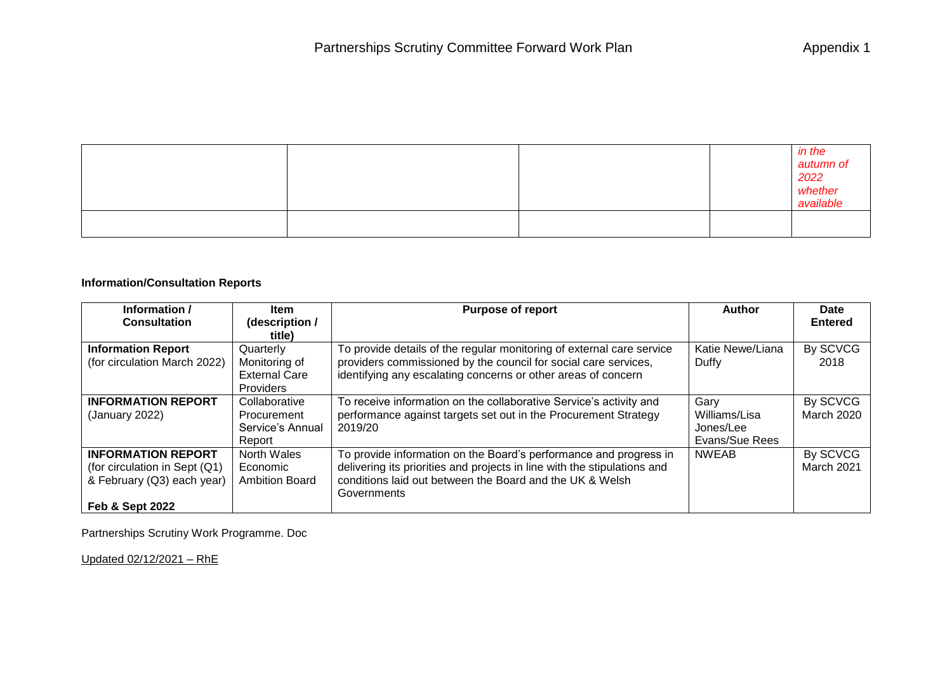|  |  | in the<br>autumn of<br>2022<br>whether<br>available |
|--|--|-----------------------------------------------------|
|  |  |                                                     |

## **Information/Consultation Reports**

| Information /                 | <b>Item</b>           | <b>Purpose of report</b>                                                 | <b>Author</b>    | <b>Date</b>       |
|-------------------------------|-----------------------|--------------------------------------------------------------------------|------------------|-------------------|
| <b>Consultation</b>           | (description /        |                                                                          |                  | <b>Entered</b>    |
|                               | title)                |                                                                          |                  |                   |
| <b>Information Report</b>     | Quarterly             | To provide details of the regular monitoring of external care service    | Katie Newe/Liana | By SCVCG          |
| (for circulation March 2022)  | Monitoring of         | providers commissioned by the council for social care services,          | Duffy            | 2018              |
|                               | <b>External Care</b>  | identifying any escalating concerns or other areas of concern            |                  |                   |
|                               | <b>Providers</b>      |                                                                          |                  |                   |
| <b>INFORMATION REPORT</b>     | Collaborative         | To receive information on the collaborative Service's activity and       | Gary             | By SCVCG          |
| (January 2022)                | Procurement           | performance against targets set out in the Procurement Strategy          | Williams/Lisa    | <b>March 2020</b> |
|                               | Service's Annual      | 2019/20                                                                  | Jones/Lee        |                   |
|                               | Report                |                                                                          | Evans/Sue Rees   |                   |
| <b>INFORMATION REPORT</b>     | North Wales           | To provide information on the Board's performance and progress in        | <b>NWEAB</b>     | By SCVCG          |
| (for circulation in Sept (Q1) | Economic              | delivering its priorities and projects in line with the stipulations and |                  | March 2021        |
| & February (Q3) each year)    | <b>Ambition Board</b> | conditions laid out between the Board and the UK & Welsh                 |                  |                   |
|                               |                       | Governments                                                              |                  |                   |
| <b>Feb &amp; Sept 2022</b>    |                       |                                                                          |                  |                   |

Partnerships Scrutiny Work Programme. Doc

Updated 02/12/2021 – RhE